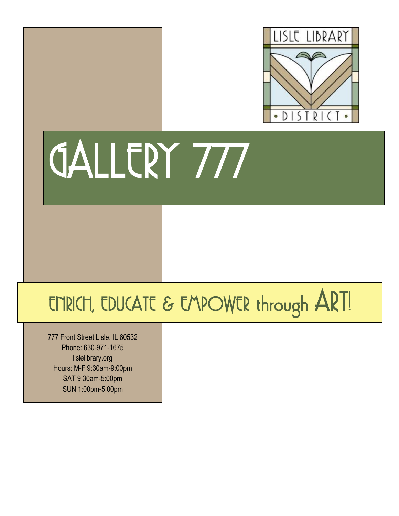

# GALLERY 777

### ENRICH, EDUCATE & EMPOWER through ART!

777 Front Street Lisle, IL 60532 Phone: 630-971-1675 lislelibrary.org Hours: M-F 9:30am-9:00pm SAT 9:30am-5:00pm SUN 1:00pm-5:00pm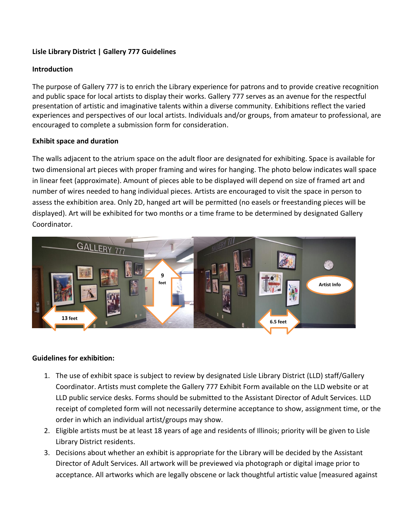#### **Lisle Library District | Gallery 777 Guidelines**

#### **Introduction**

The purpose of Gallery 777 is to enrich the Library experience for patrons and to provide creative recognition and public space for local artists to display their works. Gallery 777 serves as an avenue for the respectful presentation of artistic and imaginative talents within a diverse community. Exhibitions reflect the varied experiences and perspectives of our local artists. Individuals and/or groups, from amateur to professional, are encouraged to complete a submission form for consideration.

#### **Exhibit space and duration**

The walls adjacent to the atrium space on the adult floor are designated for exhibiting. Space is available for two dimensional art pieces with proper framing and wires for hanging. The photo below indicates wall space in linear feet (approximate). Amount of pieces able to be displayed will depend on size of framed art and number of wires needed to hang individual pieces. Artists are encouraged to visit the space in person to assess the exhibition area. Only 2D, hanged art will be permitted (no easels or freestanding pieces will be displayed). Art will be exhibited for two months or a time frame to be determined by designated Gallery Coordinator.



#### **Guidelines for exhibition:**

- 1. The use of exhibit space is subject to review by designated Lisle Library District (LLD) staff/Gallery Coordinator. Artists must complete the Gallery 777 Exhibit Form available on the LLD website or at LLD public service desks. Forms should be submitted to the Assistant Director of Adult Services. LLD receipt of completed form will not necessarily determine acceptance to show, assignment time, or the order in which an individual artist/groups may show.
- 2. Eligible artists must be at least 18 years of age and residents of Illinois; priority will be given to Lisle Library District residents.
- 3. Decisions about whether an exhibit is appropriate for the Library will be decided by the Assistant Director of Adult Services. All artwork will be previewed via photograph or digital image prior to acceptance. All artworks which are legally obscene or lack thoughtful artistic value [measured against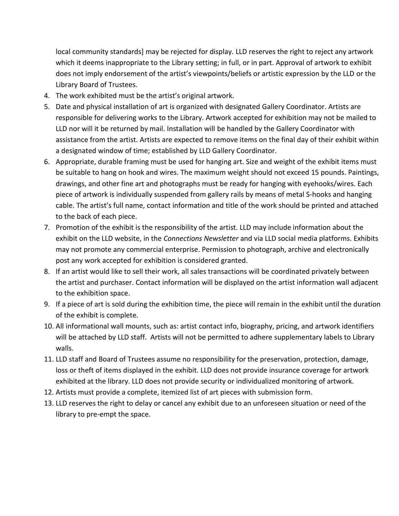local community standards] may be rejected for display. LLD reserves the right to reject any artwork which it deems inappropriate to the Library setting; in full, or in part. Approval of artwork to exhibit does not imply endorsement of the artist's viewpoints/beliefs or artistic expression by the LLD or the Library Board of Trustees.

- 4. The work exhibited must be the artist's original artwork.
- 5. Date and physical installation of art is organized with designated Gallery Coordinator. Artists are responsible for delivering works to the Library. Artwork accepted for exhibition may not be mailed to LLD nor will it be returned by mail. Installation will be handled by the Gallery Coordinator with assistance from the artist. Artists are expected to remove items on the final day of their exhibit within a designated window of time; established by LLD Gallery Coordinator.
- 6. Appropriate, durable framing must be used for hanging art. Size and weight of the exhibit items must be suitable to hang on hook and wires. The maximum weight should not exceed 15 pounds. Paintings, drawings, and other fine art and photographs must be ready for hanging with eyehooks/wires. Each piece of artwork is individually suspended from gallery rails by means of metal S-hooks and hanging cable. The artist's full name, contact information and title of the work should be printed and attached to the back of each piece.
- 7. Promotion of the exhibit is the responsibility of the artist. LLD may include information about the exhibit on the LLD website, in the *Connections Newsletter* and via LLD social media platforms. Exhibits may not promote any commercial enterprise. Permission to photograph, archive and electronically post any work accepted for exhibition is considered granted.
- 8. If an artist would like to sell their work, all sales transactions will be coordinated privately between the artist and purchaser. Contact information will be displayed on the artist information wall adjacent to the exhibition space.
- 9. If a piece of art is sold during the exhibition time, the piece will remain in the exhibit until the duration of the exhibit is complete.
- 10. All informational wall mounts, such as: artist contact info, biography, pricing, and artwork identifiers will be attached by LLD staff. Artists will not be permitted to adhere supplementary labels to Library walls.
- 11. LLD staff and Board of Trustees assume no responsibility for the preservation, protection, damage, loss or theft of items displayed in the exhibit. LLD does not provide insurance coverage for artwork exhibited at the library. LLD does not provide security or individualized monitoring of artwork.
- 12. Artists must provide a complete, itemized list of art pieces with submission form.
- 13. LLD reserves the right to delay or cancel any exhibit due to an unforeseen situation or need of the library to pre-empt the space.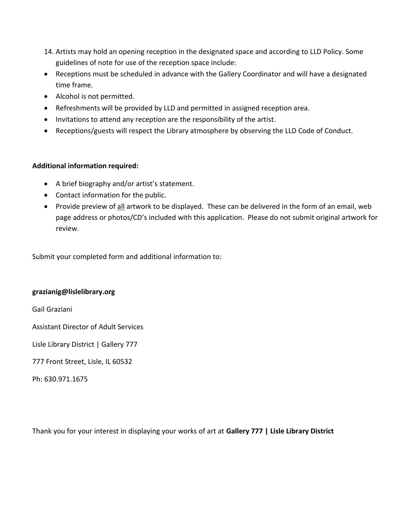- 14. Artists may hold an opening reception in the designated space and according to LLD Policy. Some guidelines of note for use of the reception space include:
- Receptions must be scheduled in advance with the Gallery Coordinator and will have a designated time frame.
- Alcohol is not permitted.
- Refreshments will be provided by LLD and permitted in assigned reception area.
- Invitations to attend any reception are the responsibility of the artist.
- Receptions/guests will respect the Library atmosphere by observing the LLD Code of Conduct.

#### **Additional information required:**

- A brief biography and/or artist's statement.
- Contact information for the public.
- Provide preview of all artwork to be displayed. These can be delivered in the form of an email, web page address or photos/CD's included with this application. Please do not submit original artwork for review.

Submit your completed form and additional information to:

#### **grazianig@lislelibrary.org**

Gail Graziani

Assistant Director of Adult Services

Lisle Library District | Gallery 777

777 Front Street, Lisle, IL 60532

Ph: 630.971.1675

Thank you for your interest in displaying your works of art at **Gallery 777 | Lisle Library District**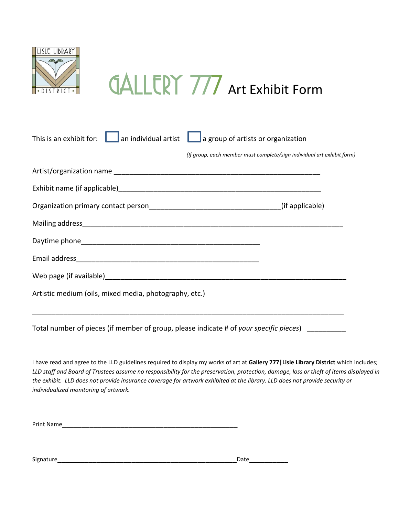

### **GALLERY 777** Art Exhibit Form

| $\overline{\phantom{a}}$ an individual artist<br>This is an exhibit for:               | $\Box$ a group of artists or organization                              |
|----------------------------------------------------------------------------------------|------------------------------------------------------------------------|
|                                                                                        | (If group, each member must complete/sign individual art exhibit form) |
|                                                                                        |                                                                        |
|                                                                                        |                                                                        |
|                                                                                        |                                                                        |
|                                                                                        |                                                                        |
|                                                                                        |                                                                        |
|                                                                                        |                                                                        |
|                                                                                        |                                                                        |
| Artistic medium (oils, mixed media, photography, etc.)                                 |                                                                        |
|                                                                                        |                                                                        |
| Total number of pieces (if member of group, please indicate # of your specific pieces) |                                                                        |

I have read and agree to the LLD guidelines required to display my works of art at **Gallery 777|Lisle Library District** which includes; *LLD staff and Board of Trustees assume no responsibility for the preservation, protection, damage, loss or theft of items displayed in the exhibit. LLD does not provide insurance coverage for artwork exhibited at the library. LLD does not provide security or individualized monitoring of artwork.*

| <b>Print Name</b> |  |
|-------------------|--|
|                   |  |

Signature\_\_\_\_\_\_\_\_\_\_\_\_\_\_\_\_\_\_\_\_\_\_\_\_\_\_\_\_\_\_\_\_\_\_\_\_\_\_\_\_\_\_\_\_\_\_Date\_\_\_\_\_\_\_\_\_\_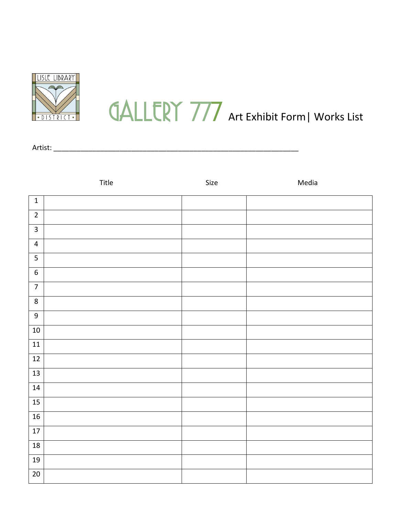

## **GALLERY 777** Art Exhibit Form| Works List

Artist: \_\_\_\_\_\_\_\_\_\_\_\_\_\_\_\_\_\_\_\_\_\_\_\_\_\_\_\_\_\_\_\_\_\_\_\_\_\_\_\_\_\_\_\_\_\_\_\_\_\_\_\_\_\_\_\_\_\_\_\_\_\_\_

|                                      | Title | Size | Media |
|--------------------------------------|-------|------|-------|
| $\mathbf 1$                          |       |      |       |
| $\overline{2}$                       |       |      |       |
| $\overline{3}$                       |       |      |       |
| $\overline{\mathbf{4}}$              |       |      |       |
| $\overline{\overline{\overline{5}}}$ |       |      |       |
| $\overline{6}$                       |       |      |       |
| $\overline{7}$                       |       |      |       |
| $\overline{8}$                       |       |      |       |
| $\overline{9}$                       |       |      |       |
| $10\,$                               |       |      |       |
| $\frac{11}{11}$                      |       |      |       |
| $12$                                 |       |      |       |
| 13                                   |       |      |       |
| $14\,$                               |       |      |       |
| 15                                   |       |      |       |
| 16                                   |       |      |       |
| 17                                   |       |      |       |
| 18                                   |       |      |       |
| 19                                   |       |      |       |
| $20\,$                               |       |      |       |